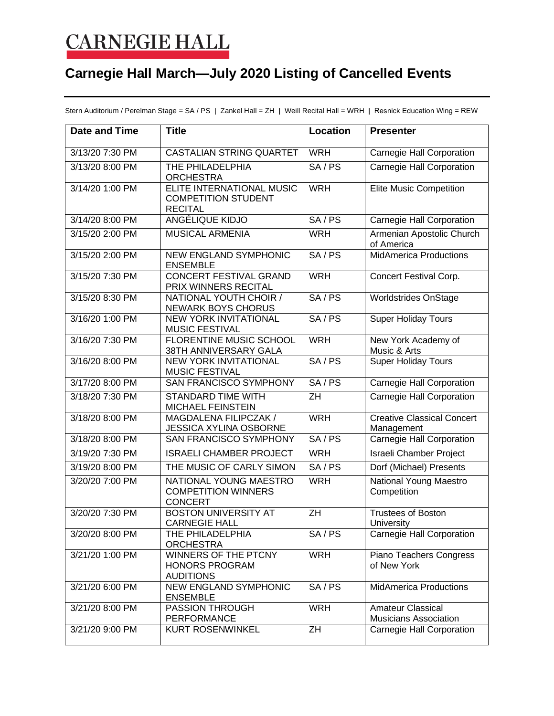## **CARNEGIE HALL**

## **Carnegie Hall March—July 2020 Listing of Cancelled Events**

Stern Auditorium / Perelman Stage = SA / PS | Zankel Hall = ZH | Weill Recital Hall = WRH | Resnick Education Wing = REW

| <b>Date and Time</b> | <b>Title</b>                                                              | <b>Location</b> | <b>Presenter</b>                                         |
|----------------------|---------------------------------------------------------------------------|-----------------|----------------------------------------------------------|
| 3/13/20 7:30 PM      | CASTALIAN STRING QUARTET                                                  | <b>WRH</b>      | Carnegie Hall Corporation                                |
| 3/13/20 8:00 PM      | THE PHILADELPHIA<br><b>ORCHESTRA</b>                                      | SA/PS           | Carnegie Hall Corporation                                |
| 3/14/20 1:00 PM      | ELITE INTERNATIONAL MUSIC<br><b>COMPETITION STUDENT</b><br><b>RECITAL</b> | <b>WRH</b>      | <b>Elite Music Competition</b>                           |
| 3/14/20 8:00 PM      | <b>ANGÉLIQUE KIDJO</b>                                                    | SA/PS           | <b>Carnegie Hall Corporation</b>                         |
| 3/15/20 2:00 PM      | <b>MUSICAL ARMENIA</b>                                                    | <b>WRH</b>      | Armenian Apostolic Church<br>of America                  |
| 3/15/20 2:00 PM      | <b>NEW ENGLAND SYMPHONIC</b><br><b>ENSEMBLE</b>                           | SA/PS           | <b>MidAmerica Productions</b>                            |
| 3/15/20 7:30 PM      | <b>CONCERT FESTIVAL GRAND</b><br>PRIX WINNERS RECITAL                     | <b>WRH</b>      | Concert Festival Corp.                                   |
| 3/15/20 8:30 PM      | NATIONAL YOUTH CHOIR /<br><b>NEWARK BOYS CHORUS</b>                       | SA/PS           | <b>Worldstrides OnStage</b>                              |
| 3/16/20 1:00 PM      | <b>NEW YORK INVITATIONAL</b><br><b>MUSIC FESTIVAL</b>                     | SA/PS           | <b>Super Holiday Tours</b>                               |
| 3/16/20 7:30 PM      | <b>FLORENTINE MUSIC SCHOOL</b><br>38TH ANNIVERSARY GALA                   | <b>WRH</b>      | New York Academy of<br>Music & Arts                      |
| 3/16/20 8:00 PM      | <b>NEW YORK INVITATIONAL</b><br><b>MUSIC FESTIVAL</b>                     | SA/PS           | <b>Super Holiday Tours</b>                               |
| 3/17/20 8:00 PM      | SAN FRANCISCO SYMPHONY                                                    | SA/PS           | Carnegie Hall Corporation                                |
| 3/18/20 7:30 PM      | <b>STANDARD TIME WITH</b><br><b>MICHAEL FEINSTEIN</b>                     | ZH              | Carnegie Hall Corporation                                |
| 3/18/20 8:00 PM      | MAGDALENA FILIPCZAK /<br>JESSICA XYLINA OSBORNE                           | <b>WRH</b>      | <b>Creative Classical Concert</b><br>Management          |
| 3/18/20 8:00 PM      | SAN FRANCISCO SYMPHONY                                                    | SA/PS           | Carnegie Hall Corporation                                |
| 3/19/20 7:30 PM      | <b>ISRAELI CHAMBER PROJECT</b>                                            | <b>WRH</b>      | <b>Israeli Chamber Project</b>                           |
| 3/19/20 8:00 PM      | THE MUSIC OF CARLY SIMON                                                  | SA/PS           | Dorf (Michael) Presents                                  |
| 3/20/20 7:00 PM      | NATIONAL YOUNG MAESTRO<br><b>COMPETITION WINNERS</b><br><b>CONCERT</b>    | <b>WRH</b>      | National Young Maestro<br>Competition                    |
| 3/20/20 7:30 PM      | <b>BOSTON UNIVERSITY AT</b><br><b>CARNEGIE HALL</b>                       | $\overline{ZH}$ | <b>Trustees of Boston</b><br>University                  |
| 3/20/20 8:00 PM      | THE PHILADELPHIA<br><b>ORCHESTRA</b>                                      | SA/PS           | Carnegie Hall Corporation                                |
| 3/21/20 1:00 PM      | WINNERS OF THE PTCNY<br><b>HONORS PROGRAM</b><br><b>AUDITIONS</b>         | <b>WRH</b>      | Piano Teachers Congress<br>of New York                   |
| 3/21/20 6:00 PM      | <b>NEW ENGLAND SYMPHONIC</b><br><b>ENSEMBLE</b>                           | SA/PS           | <b>MidAmerica Productions</b>                            |
| 3/21/20 8:00 PM      | <b>PASSION THROUGH</b><br><b>PERFORMANCE</b>                              | <b>WRH</b>      | <b>Amateur Classical</b><br><b>Musicians Association</b> |
| 3/21/20 9:00 PM      | <b>KURT ROSENWINKEL</b>                                                   | ZH              | Carnegie Hall Corporation                                |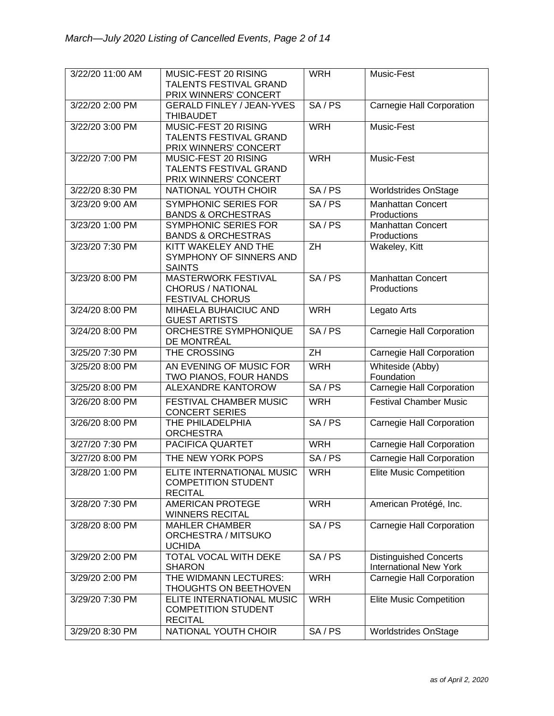| 3/22/20 11:00 AM | MUSIC-FEST 20 RISING             | <b>WRH</b>      | Music-Fest                                                     |
|------------------|----------------------------------|-----------------|----------------------------------------------------------------|
|                  | TALENTS FESTIVAL GRAND           |                 |                                                                |
|                  | PRIX WINNERS' CONCERT            |                 |                                                                |
| 3/22/20 2:00 PM  | <b>GERALD FINLEY / JEAN-YVES</b> | SA/PS           | Carnegie Hall Corporation                                      |
|                  | <b>THIBAUDET</b>                 |                 |                                                                |
| 3/22/20 3:00 PM  | MUSIC-FEST 20 RISING             | <b>WRH</b>      | Music-Fest                                                     |
|                  | TALENTS FESTIVAL GRAND           |                 |                                                                |
|                  |                                  |                 |                                                                |
|                  | PRIX WINNERS' CONCERT            |                 |                                                                |
| 3/22/20 7:00 PM  | MUSIC-FEST 20 RISING             | <b>WRH</b>      | Music-Fest                                                     |
|                  | <b>TALENTS FESTIVAL GRAND</b>    |                 |                                                                |
|                  | PRIX WINNERS' CONCERT            |                 |                                                                |
| 3/22/20 8:30 PM  | <b>NATIONAL YOUTH CHOIR</b>      | SA/PS           | <b>Worldstrides OnStage</b>                                    |
| 3/23/20 9:00 AM  | <b>SYMPHONIC SERIES FOR</b>      | SA/PS           | <b>Manhattan Concert</b>                                       |
|                  | <b>BANDS &amp; ORCHESTRAS</b>    |                 | Productions                                                    |
| 3/23/20 1:00 PM  | <b>SYMPHONIC SERIES FOR</b>      | SA/PS           | <b>Manhattan Concert</b>                                       |
|                  | <b>BANDS &amp; ORCHESTRAS</b>    |                 | Productions                                                    |
| 3/23/20 7:30 PM  | KITT WAKELEY AND THE             | ZH              | Wakeley, Kitt                                                  |
|                  | SYMPHONY OF SINNERS AND          |                 |                                                                |
|                  | <b>SAINTS</b>                    |                 |                                                                |
| 3/23/20 8:00 PM  | <b>MASTERWORK FESTIVAL</b>       | SA/PS           | <b>Manhattan Concert</b>                                       |
|                  |                                  |                 |                                                                |
|                  | <b>CHORUS / NATIONAL</b>         |                 | Productions                                                    |
|                  | <b>FESTIVAL CHORUS</b>           |                 |                                                                |
| 3/24/20 8:00 PM  | MIHAELA BUHAICIUC AND            | <b>WRH</b>      | Legato Arts                                                    |
|                  | <b>GUEST ARTISTS</b>             |                 |                                                                |
| 3/24/20 8:00 PM  | ORCHESTRE SYMPHONIQUE            | SA/PS           | Carnegie Hall Corporation                                      |
|                  | DE MONTRÉAL                      |                 |                                                                |
| 3/25/20 7:30 PM  | THE CROSSING                     | $\overline{ZH}$ | Carnegie Hall Corporation                                      |
| 3/25/20 8:00 PM  | AN EVENING OF MUSIC FOR          | <b>WRH</b>      | Whiteside (Abby)                                               |
|                  | <b>TWO PIANOS, FOUR HANDS</b>    |                 | Foundation                                                     |
| 3/25/20 8:00 PM  | <b>ALEXANDRE KANTOROW</b>        | SA/PS           | Carnegie Hall Corporation                                      |
|                  |                                  |                 |                                                                |
| 3/26/20 8:00 PM  | <b>FESTIVAL CHAMBER MUSIC</b>    | <b>WRH</b>      | <b>Festival Chamber Music</b>                                  |
|                  | <b>CONCERT SERIES</b>            |                 |                                                                |
| 3/26/20 8:00 PM  | THE PHILADELPHIA                 | SA/PS           | Carnegie Hall Corporation                                      |
|                  | <b>ORCHESTRA</b>                 |                 |                                                                |
| 3/27/20 7:30 PM  | PACIFICA QUARTET                 | <b>WRH</b>      | Carnegie Hall Corporation                                      |
| 3/27/20 8:00 PM  | THE NEW YORK POPS                | SA/PS           | Carnegie Hall Corporation                                      |
| 3/28/20 1:00 PM  | ELITE INTERNATIONAL MUSIC        | <b>WRH</b>      | <b>Elite Music Competition</b>                                 |
|                  | <b>COMPETITION STUDENT</b>       |                 |                                                                |
|                  | <b>RECITAL</b>                   |                 |                                                                |
| 3/28/20 7:30 PM  | <b>AMERICAN PROTEGE</b>          | <b>WRH</b>      | American Protégé, Inc.                                         |
|                  | WINNERS RECITAL                  |                 |                                                                |
| 3/28/20 8:00 PM  | <b>MAHLER CHAMBER</b>            | SA/PS           | <b>Carnegie Hall Corporation</b>                               |
|                  | <b>ORCHESTRA / MITSUKO</b>       |                 |                                                                |
|                  | <b>UCHIDA</b>                    |                 |                                                                |
| 3/29/20 2:00 PM  | TOTAL VOCAL WITH DEKE            | SA/PS           |                                                                |
|                  | <b>SHARON</b>                    |                 | <b>Distinguished Concerts</b><br><b>International New York</b> |
|                  |                                  |                 |                                                                |
| 3/29/20 2:00 PM  | THE WIDMANN LECTURES:            | <b>WRH</b>      | Carnegie Hall Corporation                                      |
|                  | <b>THOUGHTS ON BEETHOVEN</b>     |                 |                                                                |
| 3/29/20 7:30 PM  | ELITE INTERNATIONAL MUSIC        | <b>WRH</b>      | <b>Elite Music Competition</b>                                 |
|                  | <b>COMPETITION STUDENT</b>       |                 |                                                                |
|                  | <b>RECITAL</b>                   |                 |                                                                |
| 3/29/20 8:30 PM  | NATIONAL YOUTH CHOIR             | SA/PS           | <b>Worldstrides OnStage</b>                                    |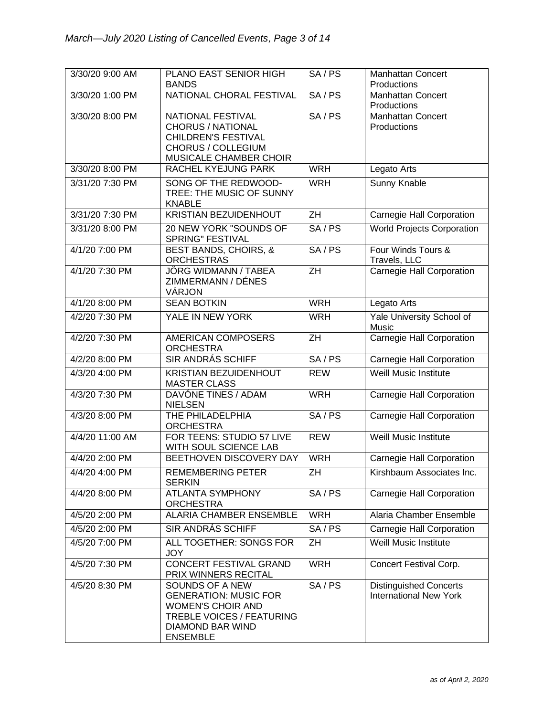| 3/30/20 9:00 AM | PLANO EAST SENIOR HIGH<br><b>BANDS</b>                                                                                                          | SA/PS           | <b>Manhattan Concert</b><br>Productions                        |
|-----------------|-------------------------------------------------------------------------------------------------------------------------------------------------|-----------------|----------------------------------------------------------------|
| 3/30/20 1:00 PM | NATIONAL CHORAL FESTIVAL                                                                                                                        | SA/PS           | <b>Manhattan Concert</b><br>Productions                        |
| 3/30/20 8:00 PM | NATIONAL FESTIVAL<br><b>CHORUS / NATIONAL</b><br><b>CHILDREN'S FESTIVAL</b><br>CHORUS / COLLEGIUM<br>MUSICALE CHAMBER CHOIR                     | SA/PS           | <b>Manhattan Concert</b><br>Productions                        |
| 3/30/20 8:00 PM | RACHEL KYEJUNG PARK                                                                                                                             | <b>WRH</b>      | Legato Arts                                                    |
| 3/31/20 7:30 PM | SONG OF THE REDWOOD-<br>TREE: THE MUSIC OF SUNNY<br><b>KNABLE</b>                                                                               | <b>WRH</b>      | Sunny Knable                                                   |
| 3/31/20 7:30 PM | KRISTIAN BEZUIDENHOUT                                                                                                                           | $\overline{ZH}$ | Carnegie Hall Corporation                                      |
| 3/31/20 8:00 PM | 20 NEW YORK "SOUNDS OF<br>SPRING" FESTIVAL                                                                                                      | SA/PS           | <b>World Projects Corporation</b>                              |
| 4/1/20 7:00 PM  | <b>BEST BANDS, CHOIRS, &amp;</b><br><b>ORCHESTRAS</b>                                                                                           | SA/PS           | Four Winds Tours &<br>Travels, LLC                             |
| 4/1/20 7:30 PM  | <b>JÖRG WIDMANN / TABEA</b><br>ZIMMERMANN / DÉNES<br>VÁRJON                                                                                     | $\overline{ZH}$ | Carnegie Hall Corporation                                      |
| 4/1/20 8:00 PM  | <b>SEAN BOTKIN</b>                                                                                                                              | <b>WRH</b>      | Legato Arts                                                    |
| 4/2/20 7:30 PM  | YALE IN NEW YORK                                                                                                                                | <b>WRH</b>      | Yale University School of<br>Music                             |
| 4/2/20 7:30 PM  | <b>AMERICAN COMPOSERS</b><br><b>ORCHESTRA</b>                                                                                                   | $\overline{ZH}$ | <b>Carnegie Hall Corporation</b>                               |
| 4/2/20 8:00 PM  | <b>SIR ANDRÁS SCHIFF</b>                                                                                                                        | SA/PS           | Carnegie Hall Corporation                                      |
| 4/3/20 4:00 PM  | <b>KRISTIAN BEZUIDENHOUT</b><br><b>MASTER CLASS</b>                                                                                             | <b>REW</b>      | Weill Music Institute                                          |
| 4/3/20 7:30 PM  | DAVÓNE TINES / ADAM<br><b>NIELSEN</b>                                                                                                           | <b>WRH</b>      | Carnegie Hall Corporation                                      |
| 4/3/20 8:00 PM  | THE PHILADELPHIA<br><b>ORCHESTRA</b>                                                                                                            | SA/PS           | Carnegie Hall Corporation                                      |
| 4/4/20 11:00 AM | FOR TEENS: STUDIO 57 LIVE<br>WITH SOUL SCIENCE LAB                                                                                              | <b>REW</b>      | <b>Weill Music Institute</b>                                   |
| 4/4/20 2:00 PM  | BEETHOVEN DISCOVERY DAY                                                                                                                         | <b>WRH</b>      | Carnegie Hall Corporation                                      |
| 4/4/20 4:00 PM  | REMEMBERING PETER<br><b>SERKIN</b>                                                                                                              | ZH              | Kirshbaum Associates Inc.                                      |
| 4/4/20 8:00 PM  | <b>ATLANTA SYMPHONY</b><br><b>ORCHESTRA</b>                                                                                                     | SA/PS           | <b>Carnegie Hall Corporation</b>                               |
| 4/5/20 2:00 PM  | <b>ALARIA CHAMBER ENSEMBLE</b>                                                                                                                  | <b>WRH</b>      | Alaria Chamber Ensemble                                        |
| 4/5/20 2:00 PM  | SIR ANDRÁS SCHIFF                                                                                                                               | SA/PS           | Carnegie Hall Corporation                                      |
| 4/5/20 7:00 PM  | ALL TOGETHER: SONGS FOR<br><b>JOY</b>                                                                                                           | ZH              | <b>Weill Music Institute</b>                                   |
| 4/5/20 7:30 PM  | <b>CONCERT FESTIVAL GRAND</b><br>PRIX WINNERS RECITAL                                                                                           | <b>WRH</b>      | Concert Festival Corp.                                         |
| 4/5/20 8:30 PM  | SOUNDS OF A NEW<br><b>GENERATION: MUSIC FOR</b><br><b>WOMEN'S CHOIR AND</b><br>TREBLE VOICES / FEATURING<br>DIAMOND BAR WIND<br><b>ENSEMBLE</b> | SA/PS           | <b>Distinguished Concerts</b><br><b>International New York</b> |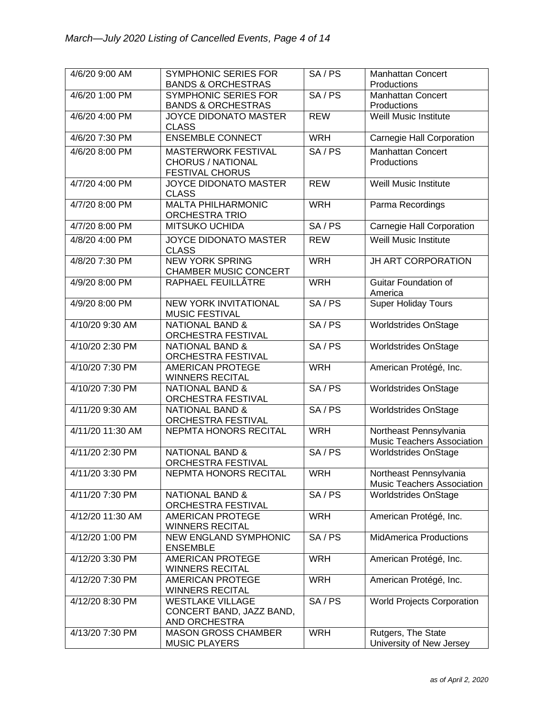| 4/6/20 9:00 AM   | SYMPHONIC SERIES FOR<br><b>BANDS &amp; ORCHESTRAS</b>                            | SA/PS      | <b>Manhattan Concert</b><br>Productions                     |
|------------------|----------------------------------------------------------------------------------|------------|-------------------------------------------------------------|
| 4/6/20 1:00 PM   | SYMPHONIC SERIES FOR<br><b>BANDS &amp; ORCHESTRAS</b>                            | SA/PS      | <b>Manhattan Concert</b><br>Productions                     |
| 4/6/20 4:00 PM   | JOYCE DIDONATO MASTER<br><b>CLASS</b>                                            | <b>REW</b> | <b>Weill Music Institute</b>                                |
| 4/6/20 7:30 PM   | <b>ENSEMBLE CONNECT</b>                                                          | <b>WRH</b> | Carnegie Hall Corporation                                   |
| 4/6/20 8:00 PM   | <b>MASTERWORK FESTIVAL</b><br><b>CHORUS / NATIONAL</b><br><b>FESTIVAL CHORUS</b> | SA/PS      | <b>Manhattan Concert</b><br>Productions                     |
| 4/7/20 4:00 PM   | JOYCE DIDONATO MASTER<br><b>CLASS</b>                                            | <b>REW</b> | Weill Music Institute                                       |
| 4/7/20 8:00 PM   | <b>MALTA PHILHARMONIC</b><br><b>ORCHESTRA TRIO</b>                               | <b>WRH</b> | Parma Recordings                                            |
| 4/7/20 8:00 PM   | <b>MITSUKO UCHIDA</b>                                                            | SA/PS      | Carnegie Hall Corporation                                   |
| 4/8/20 4:00 PM   | <b>JOYCE DIDONATO MASTER</b><br><b>CLASS</b>                                     | <b>REW</b> | <b>Weill Music Institute</b>                                |
| 4/8/20 7:30 PM   | <b>NEW YORK SPRING</b><br><b>CHAMBER MUSIC CONCERT</b>                           | <b>WRH</b> | JH ART CORPORATION                                          |
| 4/9/20 8:00 PM   | RAPHAEL FEUILLÂTRE                                                               | <b>WRH</b> | Guitar Foundation of<br>America                             |
| 4/9/20 8:00 PM   | <b>NEW YORK INVITATIONAL</b><br><b>MUSIC FESTIVAL</b>                            | SA/PS      | <b>Super Holiday Tours</b>                                  |
| 4/10/20 9:30 AM  | <b>NATIONAL BAND &amp;</b><br><b>ORCHESTRA FESTIVAL</b>                          | SA/PS      | Worldstrides OnStage                                        |
| 4/10/20 2:30 PM  | <b>NATIONAL BAND &amp;</b><br><b>ORCHESTRA FESTIVAL</b>                          | SA/PS      | <b>Worldstrides OnStage</b>                                 |
| 4/10/20 7:30 PM  | <b>AMERICAN PROTEGE</b><br><b>WINNERS RECITAL</b>                                | <b>WRH</b> | American Protégé, Inc.                                      |
| 4/10/20 7:30 PM  | <b>NATIONAL BAND &amp;</b><br>ORCHESTRA FESTIVAL                                 | SA/PS      | <b>Worldstrides OnStage</b>                                 |
| 4/11/20 9:30 AM  | <b>NATIONAL BAND &amp;</b><br>ORCHESTRA FESTIVAL                                 | SA/PS      | <b>Worldstrides OnStage</b>                                 |
| 4/11/20 11:30 AM | NEPMTA HONORS RECITAL                                                            | <b>WRH</b> | Northeast Pennsylvania<br><b>Music Teachers Association</b> |
| 4/11/20 2:30 PM  | <b>NATIONAL BAND &amp;</b><br>ORCHESTRA FESTIVAL                                 | SA/PS      | <b>Worldstrides OnStage</b>                                 |
| 4/11/20 3:30 PM  | NEPMTA HONORS RECITAL                                                            | <b>WRH</b> | Northeast Pennsylvania<br>Music Teachers Association        |
| 4/11/20 7:30 PM  | <b>NATIONAL BAND &amp;</b><br>ORCHESTRA FESTIVAL                                 | SA/PS      | <b>Worldstrides OnStage</b>                                 |
| 4/12/20 11:30 AM | <b>AMERICAN PROTEGE</b><br><b>WINNERS RECITAL</b>                                | <b>WRH</b> | American Protégé, Inc.                                      |
| 4/12/20 1:00 PM  | NEW ENGLAND SYMPHONIC<br><b>ENSEMBLE</b>                                         | SA/PS      | <b>MidAmerica Productions</b>                               |
| 4/12/20 3:30 PM  | <b>AMERICAN PROTEGE</b><br><b>WINNERS RECITAL</b>                                | <b>WRH</b> | American Protégé, Inc.                                      |
| 4/12/20 7:30 PM  | <b>AMERICAN PROTEGE</b><br><b>WINNERS RECITAL</b>                                | <b>WRH</b> | American Protégé, Inc.                                      |
| 4/12/20 8:30 PM  | <b>WESTLAKE VILLAGE</b><br>CONCERT BAND, JAZZ BAND,<br>AND ORCHESTRA             | SA/PS      | <b>World Projects Corporation</b>                           |
| 4/13/20 7:30 PM  | <b>MASON GROSS CHAMBER</b><br><b>MUSIC PLAYERS</b>                               | <b>WRH</b> | Rutgers, The State<br>University of New Jersey              |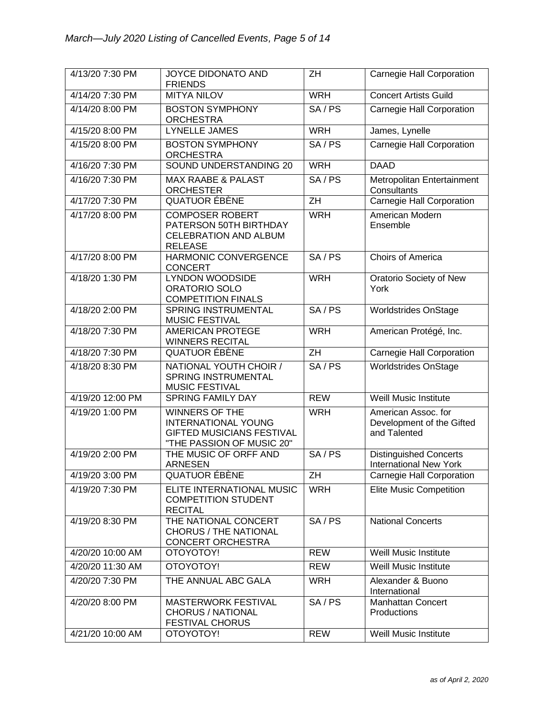| 4/13/20 7:30 PM  | JOYCE DIDONATO AND<br><b>FRIENDS</b>                                                                                 | ZH              | Carnegie Hall Corporation                                        |
|------------------|----------------------------------------------------------------------------------------------------------------------|-----------------|------------------------------------------------------------------|
| 4/14/20 7:30 PM  | <b>MITYA NILOV</b>                                                                                                   | <b>WRH</b>      | <b>Concert Artists Guild</b>                                     |
| 4/14/20 8:00 PM  | <b>BOSTON SYMPHONY</b><br><b>ORCHESTRA</b>                                                                           | SA/PS           | Carnegie Hall Corporation                                        |
| 4/15/20 8:00 PM  | <b>LYNELLE JAMES</b>                                                                                                 | <b>WRH</b>      | James, Lynelle                                                   |
| 4/15/20 8:00 PM  | <b>BOSTON SYMPHONY</b><br><b>ORCHESTRA</b>                                                                           | SA/PS           | <b>Carnegie Hall Corporation</b>                                 |
| 4/16/20 7:30 PM  | SOUND UNDERSTANDING 20                                                                                               | <b>WRH</b>      | <b>DAAD</b>                                                      |
| 4/16/20 7:30 PM  | <b>MAX RAABE &amp; PALAST</b><br><b>ORCHESTER</b>                                                                    | SA/PS           | Metropolitan Entertainment<br>Consultants                        |
| 4/17/20 7:30 PM  | QUATUOR ÉBÈNE                                                                                                        | $\overline{ZH}$ | <b>Carnegie Hall Corporation</b>                                 |
| 4/17/20 8:00 PM  | <b>COMPOSER ROBERT</b><br>PATERSON 50TH BIRTHDAY<br><b>CELEBRATION AND ALBUM</b><br><b>RELEASE</b>                   | <b>WRH</b>      | American Modern<br>Ensemble                                      |
| 4/17/20 8:00 PM  | <b>HARMONIC CONVERGENCE</b><br><b>CONCERT</b>                                                                        | SA/PS           | Choirs of America                                                |
| 4/18/20 1:30 PM  | <b>LYNDON WOODSIDE</b><br><b>ORATORIO SOLO</b><br><b>COMPETITION FINALS</b>                                          | <b>WRH</b>      | Oratorio Society of New<br>York                                  |
| 4/18/20 2:00 PM  | SPRING INSTRUMENTAL<br><b>MUSIC FESTIVAL</b>                                                                         | SA/PS           | <b>Worldstrides OnStage</b>                                      |
| 4/18/20 7:30 PM  | <b>AMERICAN PROTEGE</b><br><b>WINNERS RECITAL</b>                                                                    | <b>WRH</b>      | American Protégé, Inc.                                           |
| 4/18/20 7:30 PM  | <b>QUATUOR ÉBÈNE</b>                                                                                                 | $\overline{ZH}$ | <b>Carnegie Hall Corporation</b>                                 |
| 4/18/20 8:30 PM  | NATIONAL YOUTH CHOIR /<br>SPRING INSTRUMENTAL<br><b>MUSIC FESTIVAL</b>                                               | SA/PS           | <b>Worldstrides OnStage</b>                                      |
| 4/19/20 12:00 PM | <b>SPRING FAMILY DAY</b>                                                                                             | <b>REW</b>      | Weill Music Institute                                            |
| 4/19/20 1:00 PM  | <b>WINNERS OF THE</b><br><b>INTERNATIONAL YOUNG</b><br><b>GIFTED MUSICIANS FESTIVAL</b><br>"THE PASSION OF MUSIC 20" | <b>WRH</b>      | American Assoc. for<br>Development of the Gifted<br>and Talented |
| 4/19/20 2:00 PM  | THE MUSIC OF ORFF AND<br><b>ARNESEN</b>                                                                              | SA/PS           | <b>Distinguished Concerts</b><br><b>International New York</b>   |
| 4/19/20 3:00 PM  | <b>QUATUOR ÉBÈNE</b>                                                                                                 | ZH              | Carnegie Hall Corporation                                        |
| 4/19/20 7:30 PM  | ELITE INTERNATIONAL MUSIC<br><b>COMPETITION STUDENT</b><br><b>RECITAL</b>                                            | <b>WRH</b>      | <b>Elite Music Competition</b>                                   |
| 4/19/20 8:30 PM  | THE NATIONAL CONCERT<br><b>CHORUS / THE NATIONAL</b><br><b>CONCERT ORCHESTRA</b>                                     | SA/PS           | <b>National Concerts</b>                                         |
| 4/20/20 10:00 AM | OTOYOTOY!                                                                                                            | <b>REW</b>      | Weill Music Institute                                            |
| 4/20/20 11:30 AM | ΟΤΟΥΟΤΟΥ!                                                                                                            | <b>REW</b>      | Weill Music Institute                                            |
| 4/20/20 7:30 PM  | THE ANNUAL ABC GALA                                                                                                  | <b>WRH</b>      | Alexander & Buono<br>International                               |
| 4/20/20 8:00 PM  | <b>MASTERWORK FESTIVAL</b><br><b>CHORUS / NATIONAL</b><br><b>FESTIVAL CHORUS</b>                                     | SA/PS           | <b>Manhattan Concert</b><br>Productions                          |
| 4/21/20 10:00 AM | <b>OTOYOTOY!</b>                                                                                                     | <b>REW</b>      | Weill Music Institute                                            |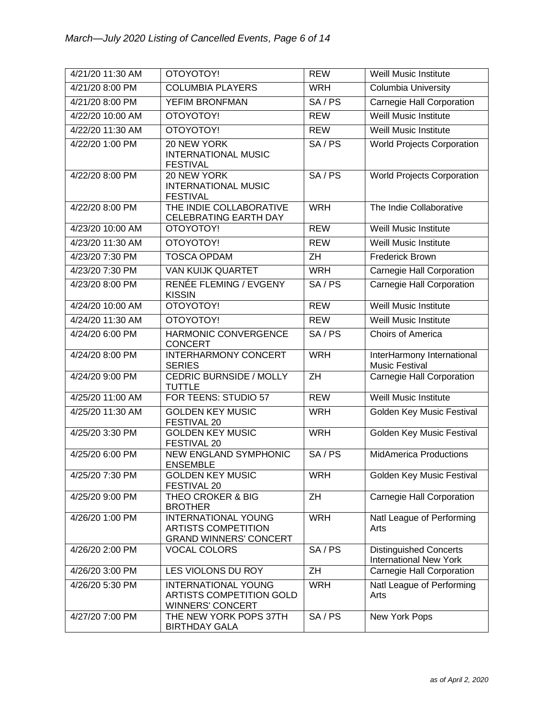| 4/21/20 11:30 AM | OTOYOTOY!                                                                                 | <b>REW</b>      | Weill Music Institute                                          |
|------------------|-------------------------------------------------------------------------------------------|-----------------|----------------------------------------------------------------|
| 4/21/20 8:00 PM  | <b>COLUMBIA PLAYERS</b>                                                                   | <b>WRH</b>      | <b>Columbia University</b>                                     |
| 4/21/20 8:00 PM  | <b>YEFIM BRONFMAN</b>                                                                     | SA/PS           | <b>Carnegie Hall Corporation</b>                               |
| 4/22/20 10:00 AM | ΟΤΟΥΟΤΟΥ!                                                                                 | <b>REW</b>      | Weill Music Institute                                          |
| 4/22/20 11:30 AM | ΟΤΟΥΟΤΟΥ!                                                                                 | <b>REW</b>      | Weill Music Institute                                          |
| 4/22/20 1:00 PM  | 20 NEW YORK<br><b>INTERNATIONAL MUSIC</b><br><b>FESTIVAL</b>                              | SA/PS           | <b>World Projects Corporation</b>                              |
| 4/22/20 8:00 PM  | 20 NEW YORK<br><b>INTERNATIONAL MUSIC</b><br><b>FESTIVAL</b>                              | SA/PS           | <b>World Projects Corporation</b>                              |
| 4/22/20 8:00 PM  | THE INDIE COLLABORATIVE<br>CELEBRATING EARTH DAY                                          | <b>WRH</b>      | The Indie Collaborative                                        |
| 4/23/20 10:00 AM | ΟΤΟΥΟΤΟΥ!                                                                                 | <b>REW</b>      | Weill Music Institute                                          |
| 4/23/20 11:30 AM | ΟΤΟΥΟΤΟΥ!                                                                                 | <b>REW</b>      | Weill Music Institute                                          |
| 4/23/20 7:30 PM  | <b>TOSCA OPDAM</b>                                                                        | ZH              | <b>Frederick Brown</b>                                         |
| 4/23/20 7:30 PM  | VAN KUIJK QUARTET                                                                         | <b>WRH</b>      | Carnegie Hall Corporation                                      |
| 4/23/20 8:00 PM  | <b>RENÉE FLEMING / EVGENY</b><br><b>KISSIN</b>                                            | SA/PS           | <b>Carnegie Hall Corporation</b>                               |
| 4/24/20 10:00 AM | ΟΤΟΥΟΤΟΥ!                                                                                 | <b>REW</b>      | Weill Music Institute                                          |
| 4/24/20 11:30 AM | ΟΤΟΥΟΤΟΥ!                                                                                 | <b>REW</b>      | Weill Music Institute                                          |
| 4/24/20 6:00 PM  | <b>HARMONIC CONVERGENCE</b><br><b>CONCERT</b>                                             | SA/PS           | Choirs of America                                              |
| 4/24/20 8:00 PM  | <b>INTERHARMONY CONCERT</b><br><b>SERIES</b>                                              | <b>WRH</b>      | InterHarmony International<br><b>Music Festival</b>            |
| 4/24/20 9:00 PM  | <b>CEDRIC BURNSIDE / MOLLY</b><br><b>TUTTLE</b>                                           | ZH              | Carnegie Hall Corporation                                      |
| 4/25/20 11:00 AM | FOR TEENS: STUDIO 57                                                                      | <b>REW</b>      | Weill Music Institute                                          |
| 4/25/20 11:30 AM | <b>GOLDEN KEY MUSIC</b><br>FESTIVAL 20                                                    | <b>WRH</b>      | Golden Key Music Festival                                      |
| 4/25/20 3:30 PM  | <b>GOLDEN KEY MUSIC</b><br>FESTIVAL 20                                                    | <b>WRH</b>      | Golden Key Music Festival                                      |
| 4/25/20 6:00 PM  | <b>NEW ENGLAND SYMPHONIC</b><br><b>ENSEMBLE</b>                                           | SA/PS           | <b>MidAmerica Productions</b>                                  |
| 4/25/20 7:30 PM  | <b>GOLDEN KEY MUSIC</b><br>FESTIVAL 20                                                    | <b>WRH</b>      | <b>Golden Key Music Festival</b>                               |
| 4/25/20 9:00 PM  | THEO CROKER & BIG<br><b>BROTHER</b>                                                       | ZH              | Carnegie Hall Corporation                                      |
| 4/26/20 1:00 PM  | <b>INTERNATIONAL YOUNG</b><br><b>ARTISTS COMPETITION</b><br><b>GRAND WINNERS' CONCERT</b> | <b>WRH</b>      | Natl League of Performing<br>Arts                              |
| 4/26/20 2:00 PM  | <b>VOCAL COLORS</b>                                                                       | SA/PS           | <b>Distinguished Concerts</b><br><b>International New York</b> |
| 4/26/20 3:00 PM  | LES VIOLONS DU ROY                                                                        | $\overline{ZH}$ | Carnegie Hall Corporation                                      |
| 4/26/20 5:30 PM  | <b>INTERNATIONAL YOUNG</b><br><b>ARTISTS COMPETITION GOLD</b><br><b>WINNERS' CONCERT</b>  | <b>WRH</b>      | Natl League of Performing<br>Arts                              |
| 4/27/20 7:00 PM  | THE NEW YORK POPS 37TH<br><b>BIRTHDAY GALA</b>                                            | SA/PS           | New York Pops                                                  |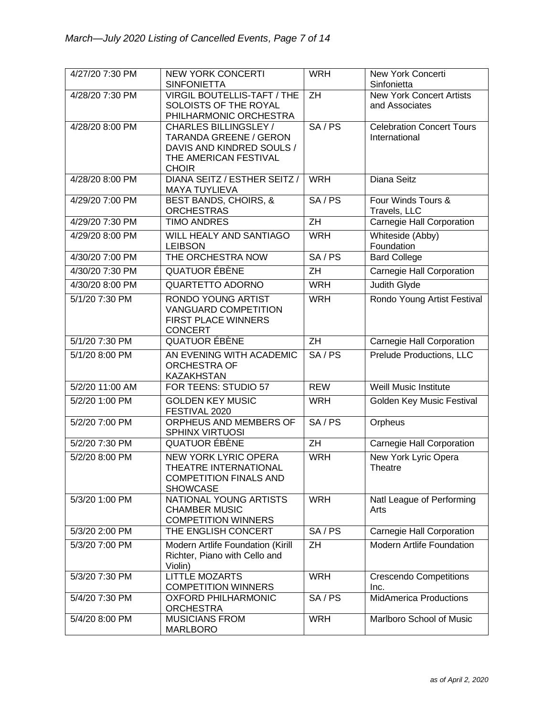| 4/27/20 7:30 PM | <b>NEW YORK CONCERTI</b>                                                                                 | <b>WRH</b>      | <b>New York Concerti</b>                          |
|-----------------|----------------------------------------------------------------------------------------------------------|-----------------|---------------------------------------------------|
|                 | <b>SINFONIETTA</b>                                                                                       |                 | Sinfonietta                                       |
| 4/28/20 7:30 PM | VIRGIL BOUTELLIS-TAFT / THE<br>SOLOISTS OF THE ROYAL<br>PHILHARMONIC ORCHESTRA                           | $\overline{ZH}$ | <b>New York Concert Artists</b><br>and Associates |
| 4/28/20 8:00 PM | CHARLES BILLINGSLEY /                                                                                    | SA/PS           | <b>Celebration Concert Tours</b>                  |
|                 | TARANDA GREENE / GERON<br>DAVIS AND KINDRED SOULS /<br>THE AMERICAN FESTIVAL<br><b>CHOIR</b>             |                 | International                                     |
| 4/28/20 8:00 PM | DIANA SEITZ / ESTHER SEITZ /<br><b>MAYA TUYLIEVA</b>                                                     | <b>WRH</b>      | Diana Seitz                                       |
| 4/29/20 7:00 PM | <b>BEST BANDS, CHOIRS, &amp;</b><br><b>ORCHESTRAS</b>                                                    | SA/PS           | Four Winds Tours &<br>Travels, LLC                |
| 4/29/20 7:30 PM | <b>TIMO ANDRES</b>                                                                                       | ZH              | Carnegie Hall Corporation                         |
| 4/29/20 8:00 PM | WILL HEALY AND SANTIAGO<br><b>LEIBSON</b>                                                                | <b>WRH</b>      | Whiteside (Abby)<br>Foundation                    |
| 4/30/20 7:00 PM | THE ORCHESTRA NOW                                                                                        | SA/PS           | <b>Bard College</b>                               |
| 4/30/20 7:30 PM | <b>QUATUOR ÉBÈNE</b>                                                                                     | ZH              | <b>Carnegie Hall Corporation</b>                  |
| 4/30/20 8:00 PM | <b>QUARTETTO ADORNO</b>                                                                                  | <b>WRH</b>      | Judith Glyde                                      |
| 5/1/20 7:30 PM  | <b>RONDO YOUNG ARTIST</b><br><b>VANGUARD COMPETITION</b><br><b>FIRST PLACE WINNERS</b><br><b>CONCERT</b> | <b>WRH</b>      | Rondo Young Artist Festival                       |
| 5/1/20 7:30 PM  | <b>QUATUOR ÉBÈNE</b>                                                                                     | ZH              | Carnegie Hall Corporation                         |
| 5/1/20 8:00 PM  | AN EVENING WITH ACADEMIC<br><b>ORCHESTRA OF</b><br><b>KAZAKHSTAN</b>                                     | SA/PS           | Prelude Productions, LLC                          |
| 5/2/20 11:00 AM | FOR TEENS: STUDIO 57                                                                                     | <b>REW</b>      | Weill Music Institute                             |
| 5/2/20 1:00 PM  | <b>GOLDEN KEY MUSIC</b><br>FESTIVAL 2020                                                                 | <b>WRH</b>      | Golden Key Music Festival                         |
| 5/2/20 7:00 PM  | ORPHEUS AND MEMBERS OF<br><b>SPHINX VIRTUOSI</b>                                                         | SA/PS           | Orpheus                                           |
| 5/2/20 7:30 PM  | <b>QUATUOR ÉBÈNE</b>                                                                                     | ZH              | Carnegie Hall Corporation                         |
| 5/2/20 8:00 PM  | <b>NEW YORK LYRIC OPERA</b><br>THEATRE INTERNATIONAL<br><b>COMPETITION FINALS AND</b><br><b>SHOWCASE</b> | <b>WRH</b>      | New York Lyric Opera<br>Theatre                   |
| 5/3/20 1:00 PM  | NATIONAL YOUNG ARTISTS<br><b>CHAMBER MUSIC</b><br><b>COMPETITION WINNERS</b>                             | <b>WRH</b>      | Natl League of Performing<br>Arts                 |
| 5/3/20 2:00 PM  | THE ENGLISH CONCERT                                                                                      | SA/PS           | Carnegie Hall Corporation                         |
| 5/3/20 7:00 PM  | Modern Artlife Foundation (Kirill<br>Richter, Piano with Cello and<br>Violin)                            | ZH              | <b>Modern Artlife Foundation</b>                  |
| 5/3/20 7:30 PM  | <b>LITTLE MOZARTS</b><br><b>COMPETITION WINNERS</b>                                                      | <b>WRH</b>      | <b>Crescendo Competitions</b><br>Inc.             |
| 5/4/20 7:30 PM  | <b>OXFORD PHILHARMONIC</b><br><b>ORCHESTRA</b>                                                           | SA/PS           | <b>MidAmerica Productions</b>                     |
| 5/4/20 8:00 PM  | <b>MUSICIANS FROM</b><br><b>MARLBORO</b>                                                                 | <b>WRH</b>      | Marlboro School of Music                          |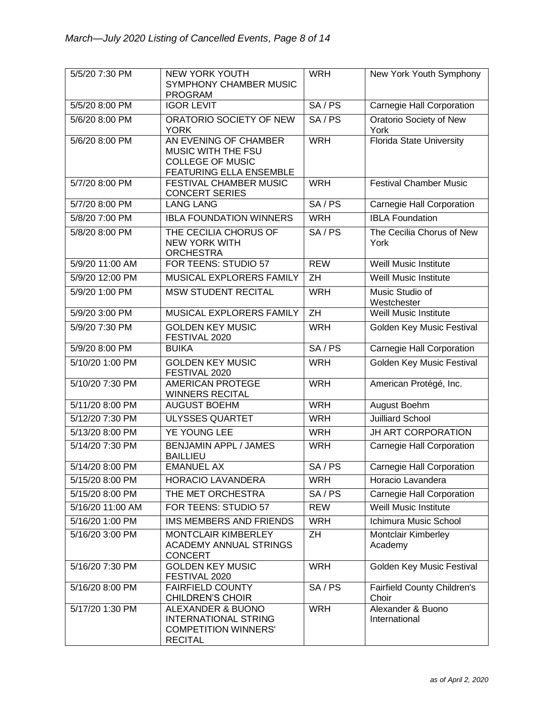| 5/5/20 7:30 PM   | <b>NEW YORK YOUTH</b><br>SYMPHONY CHAMBER MUSIC<br><b>PROGRAM</b>                                 | <b>WRH</b>      | New York Youth Symphony                |
|------------------|---------------------------------------------------------------------------------------------------|-----------------|----------------------------------------|
| 5/5/20 8:00 PM   | <b>IGOR LEVIT</b>                                                                                 | SA/PS           | Carnegie Hall Corporation              |
| 5/6/20 8:00 PM   | ORATORIO SOCIETY OF NEW<br><b>YORK</b>                                                            | SA/PS           | <b>Oratorio Society of New</b><br>York |
| 5/6/20 8:00 PM   | AN EVENING OF CHAMBER<br>MUSIC WITH THE FSU<br><b>COLLEGE OF MUSIC</b><br>FEATURING ELLA ENSEMBLE | <b>WRH</b>      | <b>Florida State University</b>        |
| 5/7/20 8:00 PM   | <b>FESTIVAL CHAMBER MUSIC</b><br><b>CONCERT SERIES</b>                                            | <b>WRH</b>      | <b>Festival Chamber Music</b>          |
| 5/7/20 8:00 PM   | <b>LANG LANG</b>                                                                                  | SA/PS           | Carnegie Hall Corporation              |
| 5/8/20 7:00 PM   | <b>IBLA FOUNDATION WINNERS</b>                                                                    | <b>WRH</b>      | <b>IBLA Foundation</b>                 |
| 5/8/20 8:00 PM   | THE CECILIA CHORUS OF<br><b>NEW YORK WITH</b><br><b>ORCHESTRA</b>                                 | SA/PS           | The Cecilia Chorus of New<br>York      |
| 5/9/20 11:00 AM  | FOR TEENS: STUDIO 57                                                                              | <b>REW</b>      | <b>Weill Music Institute</b>           |
| 5/9/20 12:00 PM  | MUSICAL EXPLORERS FAMILY                                                                          | ZH              | Weill Music Institute                  |
| 5/9/20 1:00 PM   | <b>MSW STUDENT RECITAL</b>                                                                        | <b>WRH</b>      | Music Studio of<br>Westchester         |
| 5/9/20 3:00 PM   | MUSICAL EXPLORERS FAMILY                                                                          | $\overline{ZH}$ | Weill Music Institute                  |
| 5/9/20 7:30 PM   | <b>GOLDEN KEY MUSIC</b><br>FESTIVAL 2020                                                          | <b>WRH</b>      | Golden Key Music Festival              |
| 5/9/20 8:00 PM   | <b>BUIKA</b>                                                                                      | SA/PS           | <b>Carnegie Hall Corporation</b>       |
| 5/10/20 1:00 PM  | <b>GOLDEN KEY MUSIC</b><br>FESTIVAL 2020                                                          | <b>WRH</b>      | Golden Key Music Festival              |
| 5/10/20 7:30 PM  | <b>AMERICAN PROTEGE</b><br><b>WINNERS RECITAL</b>                                                 | <b>WRH</b>      | American Protégé, Inc.                 |
| 5/11/20 8:00 PM  | <b>AUGUST BOEHM</b>                                                                               | <b>WRH</b>      | August Boehm                           |
| 5/12/20 7:30 PM  | <b>ULYSSES QUARTET</b>                                                                            | <b>WRH</b>      | <b>Juilliard School</b>                |
| 5/13/20 8:00 PM  | YE YOUNG LEE                                                                                      | <b>WRH</b>      | <b>JH ART CORPORATION</b>              |
| 5/14/20 7:30 PM  | <b>BENJAMIN APPL / JAMES</b><br><b>BAILLIEU</b>                                                   | <b>WRH</b>      | Carnegie Hall Corporation              |
| 5/14/20 8:00 PM  | <b>EMANUEL AX</b>                                                                                 | SA/PS           | Carnegie Hall Corporation              |
| 5/15/20 8:00 PM  | <b>HORACIO LAVANDERA</b>                                                                          | <b>WRH</b>      | Horacio Lavandera                      |
| 5/15/20 8:00 PM  | THE MET ORCHESTRA                                                                                 | SA/PS           | Carnegie Hall Corporation              |
| 5/16/20 11:00 AM | FOR TEENS: STUDIO 57                                                                              | <b>REW</b>      | Weill Music Institute                  |
| 5/16/20 1:00 PM  | IMS MEMBERS AND FRIENDS                                                                           | <b>WRH</b>      | Ichimura Music School                  |
| 5/16/20 3:00 PM  | MONTCLAIR KIMBERLEY<br><b>ACADEMY ANNUAL STRINGS</b><br><b>CONCERT</b>                            | ZH              | Montclair Kimberley<br>Academy         |
| 5/16/20 7:30 PM  | <b>GOLDEN KEY MUSIC</b><br>FESTIVAL 2020                                                          | <b>WRH</b>      | Golden Key Music Festival              |
| 5/16/20 8:00 PM  | <b>FAIRFIELD COUNTY</b><br><b>CHILDREN'S CHOIR</b>                                                | SA/PS           | Fairfield County Children's<br>Choir   |
| 5/17/20 1:30 PM  | ALEXANDER & BUONO<br><b>INTERNATIONAL STRING</b><br><b>COMPETITION WINNERS'</b><br><b>RECITAL</b> | <b>WRH</b>      | Alexander & Buono<br>International     |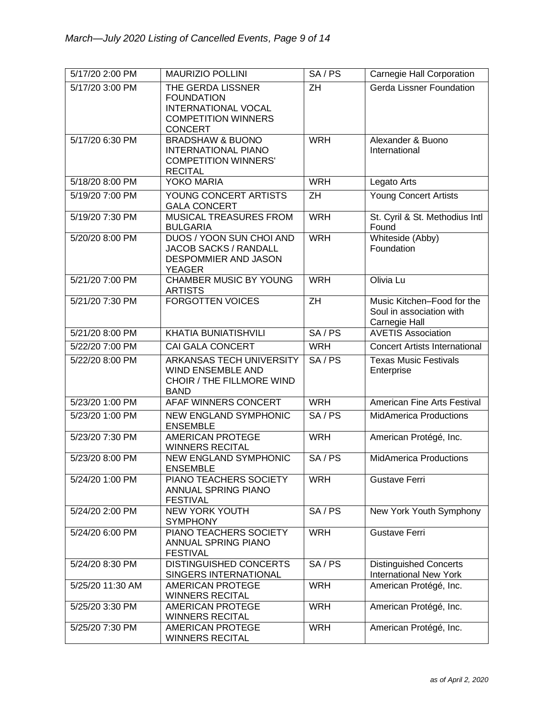| 5/17/20 2:00 PM  | <b>MAURIZIO POLLINI</b>                                                                                              | SA/PS           | Carnegie Hall Corporation                                               |
|------------------|----------------------------------------------------------------------------------------------------------------------|-----------------|-------------------------------------------------------------------------|
| 5/17/20 3:00 PM  | THE GERDA LISSNER<br><b>FOUNDATION</b><br><b>INTERNATIONAL VOCAL</b><br><b>COMPETITION WINNERS</b><br><b>CONCERT</b> | ZH              | <b>Gerda Lissner Foundation</b>                                         |
| 5/17/20 6:30 PM  | <b>BRADSHAW &amp; BUONO</b><br><b>INTERNATIONAL PIANO</b><br><b>COMPETITION WINNERS'</b><br><b>RECITAL</b>           | <b>WRH</b>      | Alexander & Buono<br>International                                      |
| 5/18/20 8:00 PM  | YOKO MARIA                                                                                                           | <b>WRH</b>      | Legato Arts                                                             |
| 5/19/20 7:00 PM  | YOUNG CONCERT ARTISTS<br><b>GALA CONCERT</b>                                                                         | $\overline{ZH}$ | Young Concert Artists                                                   |
| 5/19/20 7:30 PM  | MUSICAL TREASURES FROM<br><b>BULGARIA</b>                                                                            | <b>WRH</b>      | St. Cyril & St. Methodius Intl<br>Found                                 |
| 5/20/20 8:00 PM  | DUOS / YOON SUN CHOI AND<br>JACOB SACKS / RANDALL<br>DESPOMMIER AND JASON<br><b>YEAGER</b>                           | <b>WRH</b>      | Whiteside (Abby)<br>Foundation                                          |
| 5/21/20 7:00 PM  | <b>CHAMBER MUSIC BY YOUNG</b><br><b>ARTISTS</b>                                                                      | <b>WRH</b>      | Olivia Lu                                                               |
| 5/21/20 7:30 PM  | <b>FORGOTTEN VOICES</b>                                                                                              | $\overline{ZH}$ | Music Kitchen-Food for the<br>Soul in association with<br>Carnegie Hall |
| 5/21/20 8:00 PM  | KHATIA BUNIATISHVILI                                                                                                 | SA/PS           | <b>AVETIS Association</b>                                               |
| 5/22/20 7:00 PM  | CAI GALA CONCERT                                                                                                     | <b>WRH</b>      | <b>Concert Artists International</b>                                    |
| 5/22/20 8:00 PM  | ARKANSAS TECH UNIVERSITY<br><b>WIND ENSEMBLE AND</b><br>CHOIR / THE FILLMORE WIND<br><b>BAND</b>                     | SA/PS           | <b>Texas Music Festivals</b><br>Enterprise                              |
| 5/23/20 1:00 PM  | AFAF WINNERS CONCERT                                                                                                 | <b>WRH</b>      | American Fine Arts Festival                                             |
| 5/23/20 1:00 PM  | <b>NEW ENGLAND SYMPHONIC</b><br><b>ENSEMBLE</b>                                                                      | SA/PS           | <b>MidAmerica Productions</b>                                           |
| 5/23/20 7:30 PM  | <b>AMERICAN PROTEGE</b><br><b>WINNERS RECITAL</b>                                                                    | <b>WRH</b>      | American Protégé, Inc.                                                  |
| 5/23/20 8:00 PM  | NEW ENGLAND SYMPHONIC<br><b>ENSEMBLE</b>                                                                             | SA/PS           | MidAmerica Productions                                                  |
| 5/24/20 1:00 PM  | PIANO TEACHERS SOCIETY<br>ANNUAL SPRING PIANO<br><b>FESTIVAL</b>                                                     | <b>WRH</b>      | <b>Gustave Ferri</b>                                                    |
| 5/24/20 2:00 PM  | <b>NEW YORK YOUTH</b><br><b>SYMPHONY</b>                                                                             | SA/PS           | New York Youth Symphony                                                 |
| 5/24/20 6:00 PM  | PIANO TEACHERS SOCIETY<br>ANNUAL SPRING PIANO<br><b>FESTIVAL</b>                                                     | <b>WRH</b>      | <b>Gustave Ferri</b>                                                    |
| 5/24/20 8:30 PM  | DISTINGUISHED CONCERTS<br>SINGERS INTERNATIONAL                                                                      | SA/PS           | <b>Distinguished Concerts</b><br><b>International New York</b>          |
| 5/25/20 11:30 AM | <b>AMERICAN PROTEGE</b><br><b>WINNERS RECITAL</b>                                                                    | <b>WRH</b>      | American Protégé, Inc.                                                  |
| 5/25/20 3:30 PM  | <b>AMERICAN PROTEGE</b><br><b>WINNERS RECITAL</b>                                                                    | <b>WRH</b>      | American Protégé, Inc.                                                  |
| 5/25/20 7:30 PM  | <b>AMERICAN PROTEGE</b><br><b>WINNERS RECITAL</b>                                                                    | <b>WRH</b>      | American Protégé, Inc.                                                  |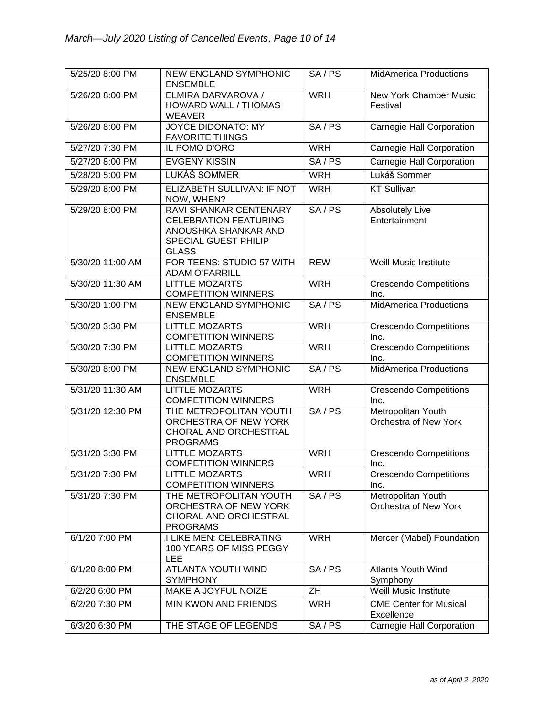| 5/25/20 8:00 PM  | NEW ENGLAND SYMPHONIC<br><b>ENSEMBLE</b>                                                                                      | SA/PS      | <b>MidAmerica Productions</b>               |
|------------------|-------------------------------------------------------------------------------------------------------------------------------|------------|---------------------------------------------|
| 5/26/20 8:00 PM  | ELMIRA DARVAROVA /<br>HOWARD WALL / THOMAS<br><b>WEAVER</b>                                                                   | <b>WRH</b> | New York Chamber Music<br>Festival          |
| 5/26/20 8:00 PM  | <b>JOYCE DIDONATO: MY</b><br><b>FAVORITE THINGS</b>                                                                           | SA/PS      | <b>Carnegie Hall Corporation</b>            |
| 5/27/20 7:30 PM  | IL POMO D'ORO                                                                                                                 | <b>WRH</b> | <b>Carnegie Hall Corporation</b>            |
| 5/27/20 8:00 PM  | <b>EVGENY KISSIN</b>                                                                                                          | SA/PS      | Carnegie Hall Corporation                   |
| 5/28/20 5:00 PM  | LUKÁŠ SOMMER                                                                                                                  | <b>WRH</b> | Lukáš Sommer                                |
| 5/29/20 8:00 PM  | ELIZABETH SULLIVAN: IF NOT<br>NOW, WHEN?                                                                                      | <b>WRH</b> | <b>KT Sullivan</b>                          |
| 5/29/20 8:00 PM  | <b>RAVI SHANKAR CENTENARY</b><br><b>CELEBRATION FEATURING</b><br>ANOUSHKA SHANKAR AND<br>SPECIAL GUEST PHILIP<br><b>GLASS</b> | SA/PS      | <b>Absolutely Live</b><br>Entertainment     |
| 5/30/20 11:00 AM | FOR TEENS: STUDIO 57 WITH<br><b>ADAM O'FARRILL</b>                                                                            | <b>REW</b> | Weill Music Institute                       |
| 5/30/20 11:30 AM | <b>LITTLE MOZARTS</b><br><b>COMPETITION WINNERS</b>                                                                           | <b>WRH</b> | <b>Crescendo Competitions</b><br>Inc.       |
| 5/30/20 1:00 PM  | <b>NEW ENGLAND SYMPHONIC</b><br><b>ENSEMBLE</b>                                                                               | SA/PS      | <b>MidAmerica Productions</b>               |
| 5/30/20 3:30 PM  | <b>LITTLE MOZARTS</b><br><b>COMPETITION WINNERS</b>                                                                           | <b>WRH</b> | <b>Crescendo Competitions</b><br>Inc.       |
| 5/30/20 7:30 PM  | <b>LITTLE MOZARTS</b><br><b>COMPETITION WINNERS</b>                                                                           | <b>WRH</b> | <b>Crescendo Competitions</b><br>Inc.       |
| 5/30/20 8:00 PM  | <b>NEW ENGLAND SYMPHONIC</b><br><b>ENSEMBLE</b>                                                                               | SA/PS      | <b>MidAmerica Productions</b>               |
| 5/31/20 11:30 AM | <b>LITTLE MOZARTS</b><br><b>COMPETITION WINNERS</b>                                                                           | <b>WRH</b> | <b>Crescendo Competitions</b><br>Inc.       |
| 5/31/20 12:30 PM | THE METROPOLITAN YOUTH<br>ORCHESTRA OF NEW YORK<br>CHORAL AND ORCHESTRAL<br><b>PROGRAMS</b>                                   | SA/PS      | Metropolitan Youth<br>Orchestra of New York |
| 5/31/20 3:30 PM  | <b>LITTLE MOZARTS</b><br><b>COMPETITION WINNERS</b>                                                                           | <b>WRH</b> | <b>Crescendo Competitions</b><br>Inc.       |
| 5/31/20 7:30 PM  | <b>LITTLE MOZARTS</b><br><b>COMPETITION WINNERS</b>                                                                           | <b>WRH</b> | <b>Crescendo Competitions</b><br>Inc.       |
| 5/31/20 7:30 PM  | THE METROPOLITAN YOUTH<br>ORCHESTRA OF NEW YORK<br>CHORAL AND ORCHESTRAL<br><b>PROGRAMS</b>                                   | SA/PS      | Metropolitan Youth<br>Orchestra of New York |
| 6/1/20 7:00 PM   | I LIKE MEN: CELEBRATING<br>100 YEARS OF MISS PEGGY<br><b>LEE</b>                                                              | <b>WRH</b> | Mercer (Mabel) Foundation                   |
| 6/1/20 8:00 PM   | ATLANTA YOUTH WIND<br><b>SYMPHONY</b>                                                                                         | SA/PS      | Atlanta Youth Wind<br>Symphony              |
| 6/2/20 6:00 PM   | <b>MAKE A JOYFUL NOIZE</b>                                                                                                    | ZH         | Weill Music Institute                       |
| 6/2/20 7:30 PM   | <b>MIN KWON AND FRIENDS</b>                                                                                                   | <b>WRH</b> | <b>CME Center for Musical</b><br>Excellence |
| 6/3/20 6:30 PM   | THE STAGE OF LEGENDS                                                                                                          | SA/PS      | Carnegie Hall Corporation                   |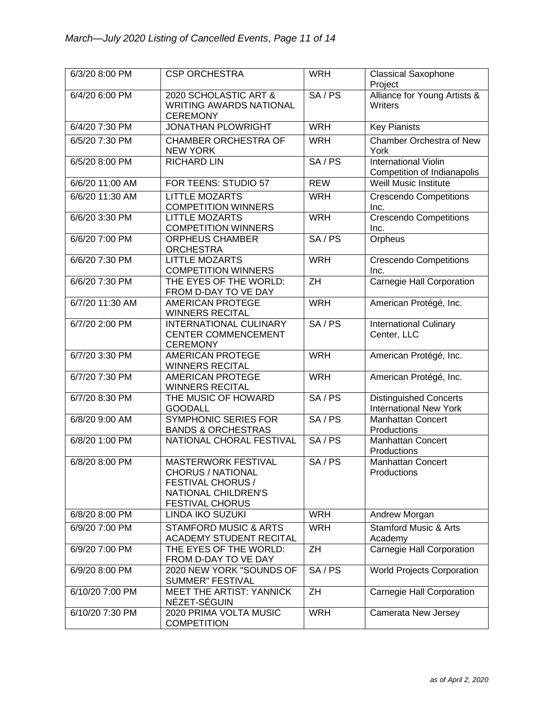| 6/3/20 8:00 PM  | <b>CSP ORCHESTRA</b>                                                                                                                       | <b>WRH</b> | <b>Classical Saxophone</b><br>Project                          |
|-----------------|--------------------------------------------------------------------------------------------------------------------------------------------|------------|----------------------------------------------------------------|
| 6/4/20 6:00 PM  | 2020 SCHOLASTIC ART &<br><b>WRITING AWARDS NATIONAL</b><br><b>CEREMONY</b>                                                                 | SA/PS      | Alliance for Young Artists &<br><b>Writers</b>                 |
| 6/4/20 7:30 PM  | <b>JONATHAN PLOWRIGHT</b>                                                                                                                  | <b>WRH</b> | <b>Key Pianists</b>                                            |
| 6/5/20 7:30 PM  | <b>CHAMBER ORCHESTRA OF</b><br><b>NEW YORK</b>                                                                                             | <b>WRH</b> | Chamber Orchestra of New<br>York                               |
| 6/5/20 8:00 PM  | <b>RICHARD LIN</b>                                                                                                                         | SA/PS      | <b>International Violin</b><br>Competition of Indianapolis     |
| 6/6/20 11:00 AM | FOR TEENS: STUDIO 57                                                                                                                       | <b>REW</b> | <b>Weill Music Institute</b>                                   |
| 6/6/20 11:30 AM | <b>LITTLE MOZARTS</b><br><b>COMPETITION WINNERS</b>                                                                                        | <b>WRH</b> | <b>Crescendo Competitions</b><br>Inc.                          |
| 6/6/20 3:30 PM  | <b>LITTLE MOZARTS</b><br><b>COMPETITION WINNERS</b>                                                                                        | <b>WRH</b> | <b>Crescendo Competitions</b><br>Inc.                          |
| 6/6/20 7:00 PM  | <b>ORPHEUS CHAMBER</b><br><b>ORCHESTRA</b>                                                                                                 | SA/PS      | Orpheus                                                        |
| 6/6/20 7:30 PM  | <b>LITTLE MOZARTS</b><br><b>COMPETITION WINNERS</b>                                                                                        | <b>WRH</b> | <b>Crescendo Competitions</b><br>Inc.                          |
| 6/6/20 7:30 PM  | THE EYES OF THE WORLD:<br>FROM D-DAY TO VE DAY                                                                                             | ZH         | <b>Carnegie Hall Corporation</b>                               |
| 6/7/20 11:30 AM | <b>AMERICAN PROTEGE</b><br><b>WINNERS RECITAL</b>                                                                                          | <b>WRH</b> | American Protégé, Inc.                                         |
| 6/7/20 2:00 PM  | <b>INTERNATIONAL CULINARY</b><br><b>CENTER COMMENCEMENT</b><br><b>CEREMONY</b>                                                             | SA/PS      | <b>International Culinary</b><br>Center, LLC                   |
| 6/7/20 3:30 PM  | <b>AMERICAN PROTEGE</b><br><b>WINNERS RECITAL</b>                                                                                          | <b>WRH</b> | American Protégé, Inc.                                         |
| 6/7/20 7:30 PM  | <b>AMERICAN PROTEGE</b><br><b>WINNERS RECITAL</b>                                                                                          | <b>WRH</b> | American Protégé, Inc.                                         |
| 6/7/20 8:30 PM  | THE MUSIC OF HOWARD<br><b>GOODALL</b>                                                                                                      | SA/PS      | <b>Distinguished Concerts</b><br><b>International New York</b> |
| 6/8/20 9:00 AM  | <b>SYMPHONIC SERIES FOR</b><br><b>BANDS &amp; ORCHESTRAS</b>                                                                               | SA/PS      | <b>Manhattan Concert</b><br>Productions                        |
| 6/8/20 1:00 PM  | NATIONAL CHORAL FESTIVAL                                                                                                                   | SA/PS      | <b>Manhattan Concert</b><br>Productions                        |
| 6/8/20 8:00 PM  | <b>MASTERWORK FESTIVAL</b><br><b>CHORUS / NATIONAL</b><br><b>FESTIVAL CHORUS /</b><br><b>NATIONAL CHILDREN'S</b><br><b>FESTIVAL CHORUS</b> | SA/PS      | <b>Manhattan Concert</b><br>Productions                        |
| 6/8/20 8:00 PM  | LINDA IKO SUZUKI                                                                                                                           | <b>WRH</b> | Andrew Morgan                                                  |
| 6/9/20 7:00 PM  | <b>STAMFORD MUSIC &amp; ARTS</b><br><b>ACADEMY STUDENT RECITAL</b>                                                                         | <b>WRH</b> | <b>Stamford Music &amp; Arts</b><br>Academy                    |
| 6/9/20 7:00 PM  | THE EYES OF THE WORLD:<br>FROM D-DAY TO VE DAY                                                                                             | ZH         | <b>Carnegie Hall Corporation</b>                               |
| 6/9/20 8:00 PM  | 2020 NEW YORK "SOUNDS OF<br>SUMMER" FESTIVAL                                                                                               | SA/PS      | <b>World Projects Corporation</b>                              |
| 6/10/20 7:00 PM | <b>MEET THE ARTIST: YANNICK</b><br>NÉZET-SÉGUIN                                                                                            | ZH         | Carnegie Hall Corporation                                      |
| 6/10/20 7:30 PM | 2020 PRIMA VOLTA MUSIC<br><b>COMPETITION</b>                                                                                               | <b>WRH</b> | Camerata New Jersey                                            |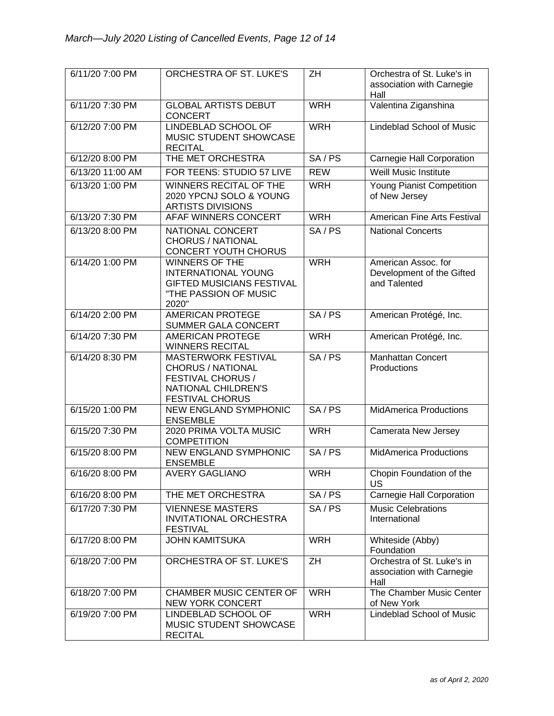| 6/11/20 7:00 PM  | ORCHESTRA OF ST. LUKE'S                                                                                                                    | ZΗ         | Orchestra of St. Luke's in<br>association with Carnegie<br>Hall  |
|------------------|--------------------------------------------------------------------------------------------------------------------------------------------|------------|------------------------------------------------------------------|
| 6/11/20 7:30 PM  | <b>GLOBAL ARTISTS DEBUT</b><br><b>CONCERT</b>                                                                                              | <b>WRH</b> | Valentina Ziganshina                                             |
| 6/12/20 7:00 PM  | <b>LINDEBLAD SCHOOL OF</b><br>MUSIC STUDENT SHOWCASE<br><b>RECITAL</b>                                                                     | <b>WRH</b> | <b>Lindeblad School of Music</b>                                 |
| 6/12/20 8:00 PM  | THE MET ORCHESTRA                                                                                                                          | SA/PS      | Carnegie Hall Corporation                                        |
| 6/13/20 11:00 AM | FOR TEENS: STUDIO 57 LIVE                                                                                                                  | <b>REW</b> | <b>Weill Music Institute</b>                                     |
| 6/13/20 1:00 PM  | <b>WINNERS RECITAL OF THE</b><br>2020 YPCNJ SOLO & YOUNG<br><b>ARTISTS DIVISIONS</b>                                                       | <b>WRH</b> | Young Pianist Competition<br>of New Jersey                       |
| 6/13/20 7:30 PM  | AFAF WINNERS CONCERT                                                                                                                       | <b>WRH</b> | American Fine Arts Festival                                      |
| 6/13/20 8:00 PM  | NATIONAL CONCERT<br><b>CHORUS / NATIONAL</b><br><b>CONCERT YOUTH CHORUS</b>                                                                | SA/PS      | <b>National Concerts</b>                                         |
| 6/14/20 1:00 PM  | WINNERS OF THE<br><b>INTERNATIONAL YOUNG</b><br><b>GIFTED MUSICIANS FESTIVAL</b><br>"THE PASSION OF MUSIC<br>2020"                         | <b>WRH</b> | American Assoc. for<br>Development of the Gifted<br>and Talented |
| 6/14/20 2:00 PM  | <b>AMERICAN PROTEGE</b><br>SUMMER GALA CONCERT                                                                                             | SA/PS      | American Protégé, Inc.                                           |
| 6/14/20 7:30 PM  | <b>AMERICAN PROTEGE</b><br><b>WINNERS RECITAL</b>                                                                                          | <b>WRH</b> | American Protégé, Inc.                                           |
| 6/14/20 8:30 PM  | <b>MASTERWORK FESTIVAL</b><br><b>CHORUS / NATIONAL</b><br><b>FESTIVAL CHORUS /</b><br><b>NATIONAL CHILDREN'S</b><br><b>FESTIVAL CHORUS</b> | SA/PS      | <b>Manhattan Concert</b><br>Productions                          |
| 6/15/20 1:00 PM  | <b>NEW ENGLAND SYMPHONIC</b><br><b>ENSEMBLE</b>                                                                                            | SA/PS      | <b>MidAmerica Productions</b>                                    |
| 6/15/20 7:30 PM  | 2020 PRIMA VOLTA MUSIC<br><b>COMPETITION</b>                                                                                               | <b>WRH</b> | Camerata New Jersey                                              |
| 6/15/20 8:00 PM  | <b>NEW ENGLAND SYMPHONIC</b><br><b>ENSEMBLE</b>                                                                                            | SA/PS      | <b>MidAmerica Productions</b>                                    |
| 6/16/20 8:00 PM  | <b>AVERY GAGLIANO</b>                                                                                                                      | <b>WRH</b> | Chopin Foundation of the<br>US                                   |
| 6/16/20 8:00 PM  | THE MET ORCHESTRA                                                                                                                          | SA/PS      | <b>Carnegie Hall Corporation</b>                                 |
| 6/17/20 7:30 PM  | <b>VIENNESE MASTERS</b><br><b>INVITATIONAL ORCHESTRA</b><br><b>FESTIVAL</b>                                                                | SA/PS      | <b>Music Celebrations</b><br>International                       |
| 6/17/20 8:00 PM  | <b>JOHN KAMITSUKA</b>                                                                                                                      | <b>WRH</b> | Whiteside (Abby)<br>Foundation                                   |
| 6/18/20 7:00 PM  | ORCHESTRA OF ST. LUKE'S                                                                                                                    | ZH         | Orchestra of St. Luke's in<br>association with Carnegie<br>Hall  |
| 6/18/20 7:00 PM  | CHAMBER MUSIC CENTER OF<br><b>NEW YORK CONCERT</b>                                                                                         | <b>WRH</b> | The Chamber Music Center<br>of New York                          |
| 6/19/20 7:00 PM  | LINDEBLAD SCHOOL OF<br>MUSIC STUDENT SHOWCASE<br><b>RECITAL</b>                                                                            | <b>WRH</b> | Lindeblad School of Music                                        |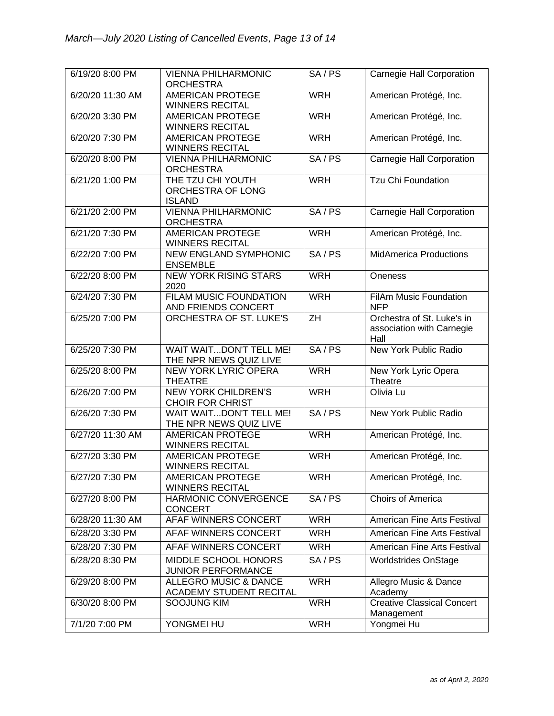| 6/19/20 8:00 PM  | <b>VIENNA PHILHARMONIC</b><br><b>ORCHESTRA</b>              | SA/PS      | Carnegie Hall Corporation                                       |
|------------------|-------------------------------------------------------------|------------|-----------------------------------------------------------------|
| 6/20/20 11:30 AM | <b>AMERICAN PROTEGE</b><br><b>WINNERS RECITAL</b>           | <b>WRH</b> | American Protégé, Inc.                                          |
| 6/20/20 3:30 PM  | <b>AMERICAN PROTEGE</b><br><b>WINNERS RECITAL</b>           | <b>WRH</b> | American Protégé, Inc.                                          |
| 6/20/20 7:30 PM  | <b>AMERICAN PROTEGE</b><br><b>WINNERS RECITAL</b>           | <b>WRH</b> | American Protégé, Inc.                                          |
| 6/20/20 8:00 PM  | <b>VIENNA PHILHARMONIC</b><br><b>ORCHESTRA</b>              | SA/PS      | <b>Carnegie Hall Corporation</b>                                |
| 6/21/20 1:00 PM  | THE TZU CHI YOUTH<br>ORCHESTRA OF LONG<br><b>ISLAND</b>     | <b>WRH</b> | <b>Tzu Chi Foundation</b>                                       |
| 6/21/20 2:00 PM  | <b>VIENNA PHILHARMONIC</b><br><b>ORCHESTRA</b>              | SA/PS      | <b>Carnegie Hall Corporation</b>                                |
| 6/21/20 7:30 PM  | <b>AMERICAN PROTEGE</b><br><b>WINNERS RECITAL</b>           | <b>WRH</b> | American Protégé, Inc.                                          |
| 6/22/20 7:00 PM  | <b>NEW ENGLAND SYMPHONIC</b><br><b>ENSEMBLE</b>             | SA/PS      | <b>MidAmerica Productions</b>                                   |
| 6/22/20 8:00 PM  | <b>NEW YORK RISING STARS</b><br>2020                        | <b>WRH</b> | Oneness                                                         |
| 6/24/20 7:30 PM  | <b>FILAM MUSIC FOUNDATION</b><br>AND FRIENDS CONCERT        | <b>WRH</b> | <b>FilAm Music Foundation</b><br><b>NFP</b>                     |
| 6/25/20 7:00 PM  | <b>ORCHESTRA OF ST. LUKE'S</b>                              | ZH         | Orchestra of St. Luke's in<br>association with Carnegie<br>Hall |
| 6/25/20 7:30 PM  | WAIT WAITDON'T TELL ME!<br>THE NPR NEWS QUIZ LIVE           | SA/PS      | New York Public Radio                                           |
| 6/25/20 8:00 PM  | <b>NEW YORK LYRIC OPERA</b><br><b>THEATRE</b>               | <b>WRH</b> | New York Lyric Opera<br>Theatre                                 |
| 6/26/20 7:00 PM  | <b>NEW YORK CHILDREN'S</b><br><b>CHOIR FOR CHRIST</b>       | <b>WRH</b> | Olivia Lu                                                       |
| 6/26/20 7:30 PM  | WAIT WAITDON'T TELL ME!<br>THE NPR NEWS QUIZ LIVE           | SA/PS      | New York Public Radio                                           |
| 6/27/20 11:30 AM | <b>AMERICAN PROTEGE</b><br><b>WINNERS RECITAL</b>           | <b>WRH</b> | American Protégé, Inc.                                          |
| 6/27/20 3:30 PM  | <b>AMERICAN PROTEGE</b><br><b>WINNERS RECITAL</b>           | <b>WRH</b> | American Protégé, Inc.                                          |
| 6/27/20 7:30 PM  | <b>AMERICAN PROTEGE</b><br><b>WINNERS RECITAL</b>           | <b>WRH</b> | American Protégé, Inc.                                          |
| 6/27/20 8:00 PM  | HARMONIC CONVERGENCE<br><b>CONCERT</b>                      | SA/PS      | Choirs of America                                               |
| 6/28/20 11:30 AM | AFAF WINNERS CONCERT                                        | <b>WRH</b> | American Fine Arts Festival                                     |
| 6/28/20 3:30 PM  | AFAF WINNERS CONCERT                                        | <b>WRH</b> | American Fine Arts Festival                                     |
| 6/28/20 7:30 PM  | AFAF WINNERS CONCERT                                        | <b>WRH</b> | American Fine Arts Festival                                     |
| 6/28/20 8:30 PM  | MIDDLE SCHOOL HONORS<br><b>JUNIOR PERFORMANCE</b>           | SA/PS      | <b>Worldstrides OnStage</b>                                     |
| 6/29/20 8:00 PM  | <b>ALLEGRO MUSIC &amp; DANCE</b><br>ACADEMY STUDENT RECITAL | <b>WRH</b> | Allegro Music & Dance<br>Academy                                |
| 6/30/20 8:00 PM  | SOOJUNG KIM                                                 | <b>WRH</b> | <b>Creative Classical Concert</b><br>Management                 |
| 7/1/20 7:00 PM   | YONGMEI HU                                                  | <b>WRH</b> | Yongmei Hu                                                      |